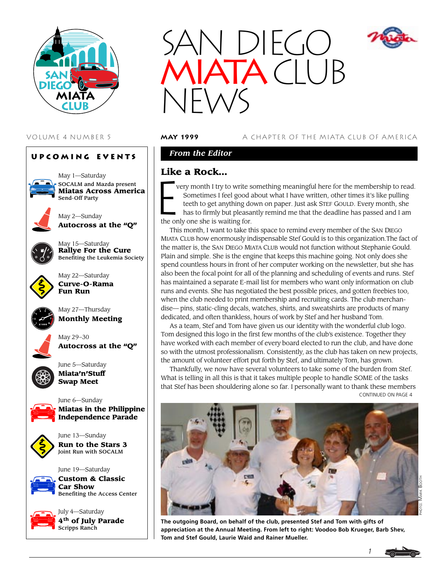





VOLUME 4 NUMBER 5 **may 1999** A CHAPTER OF THE MIATA CLUB OF AMERICA

# *From the Editor*

# **Like a Rock…**

 $\begin{bmatrix} \mathbf{L} & \mathbf{K} & \mathbf{K} \\ \mathbf{L} & \mathbf{K} & \mathbf{K} \end{bmatrix}$ very month I try to write something meaningful here for the membership to read. Sometimes I feel good about what I have written, other times it's like pulling teeth to get anything down on paper. Just ask STEF GOULD. Every month, she has to firmly but pleasantly remind me that the deadline has passed and I am the only one she is waiting for.

This month, I want to take this space to remind every member of the SAN DIEGO MIATA CLUB how enormously indispensable Stef Gould is to this organization.The fact of the matter is, the SAN DIEGO MIATA CLUB would not function without Stephanie Gould. Plain and simple. She is the engine that keeps this machine going. Not only does she spend countless hours in front of her computer working on the newsletter, but she has also been the focal point for all of the planning and scheduling of events and runs. Stef has maintained a separate E-mail list for members who want only information on club runs and events. She has negotiated the best possible prices, and gotten freebies too, when the club needed to print membership and recruiting cards. The club merchandise— pins, static-cling decals, watches, shirts, and sweatshirts are products of many dedicated, and often thankless, hours of work by Stef and her husband Tom.

As a team, Stef and Tom have given us our identity with the wonderful club logo. Tom designed this logo in the first few months of the club's existence. Together they have worked with each member of every board elected to run the club, and have done so with the utmost professionalism. Consistently, as the club has taken on new projects, the amount of volunteer effort put forth by Stef, and ultimately Tom, has grown.

Thankfully, we now have several volunteers to take some of the burden from Stef. What is telling in all this is that it takes multiple people to handle SOME of the tasks that Stef has been shouldering alone so far. I personally want to thank these members CONTINUED ON PAGE 4



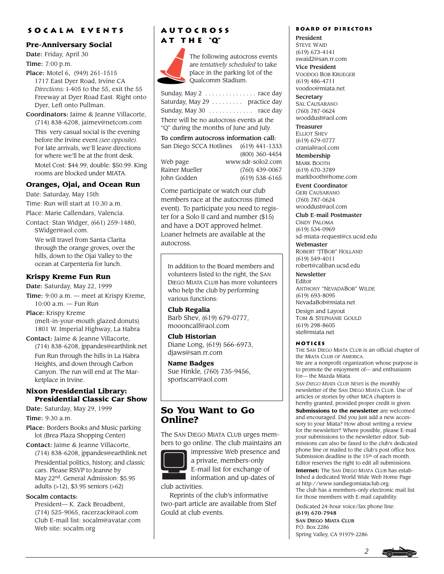### **Socalm events**

### **Pre-Anniversary Social**

Date: Friday, April 30

Time: 7:00 p.m.

Place: Motel 6, (949) 261-1515 1717 East Dyer Road, Irvine CA *Directions:* I-405 to the 55, exit the 55 Freeway at Dyer Road East. Right onto Dyer, Left onto Pullman.

Coordinators: Jaime & Jeanne Villacorte, (714) 838-6208, jaimev@netcom.com

This very casual social is the evening before the Irvine event *(see opposite).* For late arrivals, we'll leave directions for where we'll be at the front desk. Motel Cost: \$44.99, double: \$50.99. King rooms are blocked under MIATA.

## **Oranges, Ojai, and Ocean Run**

Date: Saturday, May 15th

Time: Run will start at 10:30 a.m.

Place: Marie Callendars, Valencia.

Contact: Stan Widger, (661) 259-1480, SWidger@aol.com.

We will travel from Santa Clarita through the orange groves, over the hills, down to the Ojai Valley to the ocean at Carpenteria for lunch.

## **Krispy Kreme Fun Run**

Date: Saturday, May 22, 1999

Time: 9:00 a.m. — meet at Krispy Kreme, 10:00 a.m. — Fun Run

Place: Krispy Kreme (melt-in-your-mouth glazed donuts) 1801 W. Imperial Highway, La Habra

Contact: Jaime & Jeanne Villacorte, (714) 838-6208, jppandes@earthlink.net

Fun Run through the hills in La Habra Heights, and down through Carbon Canyon. The run will end at The Marketplace in Irvine.

### **Nixon Presidential Library: Presidential Classic Car Show**

Date: Saturday, May 29, 1999

Time: 9:30 a.m.

Place: Borders Books and Music parking lot (Brea Plaza Shopping Center)

Contact: Jaime & Jeanne Villacorte, (714) 838-6208, jppandes@earthlink.net Presidential politics, history, and classic cars. Please RSVP to Jeanne by May 22<sup>nd</sup>. General Admission: \$5.95 adults (>12), \$3.95 seniors (>62)

### Socalm contacts:

President— K. Zack Broadbent, (714) 525-9065, racerzack@aol.com Club E-mail list: socalm@avatar.com Web site: socalm.org

# **Autocross a t t h e "Q"**



The following autocross events are *tentatively scheduled* to take place in the parking lot of the Qualcomm Stadium.

| Sunday, May 2  race day                  |
|------------------------------------------|
| Saturday, May 29 practice day            |
| Sunday, May 30 race day                  |
| There will be no autocross events at the |
| "O" during the months of June and July.  |
|                                          |

To confirm autocross information call: San Diego SCCA Hotlines (619) 441-1333 (800) 360-4454 Web page www.sdr-solo2.com Rainer Mueller (760) 439-0067

John Godden (619) 538-6165

Come participate or watch our club members race at the autocross (timed event). To participate you need to register for a Solo II card and number (\$15) and have a DOT approved helmet. Loaner helmets are available at the autocross.

In addition to the Board members and volunteers listed to the right, the SAN DIEGO MIATA CLUB has more volunteers who help the club by performing various functions:

### **Club Regalia**

Barb Shev, (619) 679-0777, moooncalf@aol.com

**Club Historian** Diane Long, (619) 566-6973, djaws@san.rr.com

**Name Badges** Sue Hinkle, (760) 735-9456, sportscarr@aol.com

# **So You Want to Go Online?**

The SAN DIEGO MIATA CLUB urges members to go online. The club maintains an

impressive Web presence and a private, members-only E-mail list for exchange of

information and up-dates of club activities.

Reprints of the club's informative two-part article are available from Stef Gould at club events.

### **Board of Directors**

President STEVE WAID (619) 673-4141 swaid2@san.rr.com

Vice President VOODOO BOB KRUEGER (619) 486-4711 voodoo@miata.net

**Secretary** SAL CAUSARANO (760) 787-0624 wooddust@aol.com

Treasurer **ELLIOT SHEV** (619) 679-0777 cranial@aol.com

Membership MARK BOOTH (619) 670-3789 markbooth@home.com

Event Coordinator GERI CAUSARANO (760) 787-0624 wooddust@aol.com

Club E-mail Postmaster CINDY PALOMA (619) 534-0969 sd-miata-request@cs.ucsd.edu

Webmaster ROBERT "JTBOB" HOLLAND (619) 549-4011 robert@caliban.ucsd.edu

**Newsletter** Editor ANTHONY "NEVADABOB" WILDE (619) 693-8095 NevadaBob@miata.net

Design and Layout TOM & STEPHANIE GOULD (619) 298-8605 stef@miata.net

### **Notices**

THE SAN DIEGO MIATA CLUB is an official chapter of the MIATA CLUB OF AMERICA. We are a nonprofit organization whose purpose is to promote the enjoyment of— and enthusiasm

for— the Mazda Miata. *SAN DIEGO MIATA CLUB NEWS* is the monthly newsletter of the SAN DIEGO MIATA CLUB. Use of articles or stories by other MCA chapters is hereby granted, provided proper credit is given.

**Submissions to the newsletter** are welcomed and encouraged. Did you just add a new accessory to your Miata? How about writing a review for the newsletter? Where possible, please E-mail your submissions to the newsletter editor. Submissions can also be faxed to the club's dedicated phone line or mailed to the club's post office box. Submission deadline is the 15<sup>th</sup> of each month. Editor reserves the right to edit all submissions.

**Internet:** The SAN DIEGO MIATA CLUB has established a dedicated World Wide Web Home Page at http://www.sandiegomiataclub.org. The club has a members-only electronic mail list for those members with E-mail capability.

Dedicated 24-hour voice/fax phone line: (619) 670-7948

SAN DIEGO MIATA CLUB P.O. Box 2286 Spring Valley, CA 91979-2286

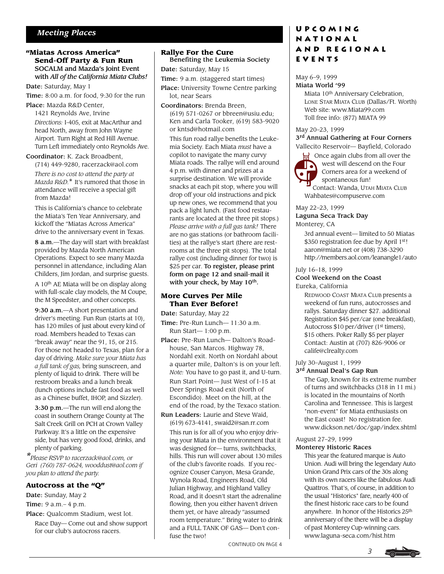## *Meeting Places*

### **"Miatas Across America" Send-Off Party & Fun Run** SOCALM and Mazda's Joint Event with *All of the California Miata Clubs!*

Date: Saturday, May 1

Time: 8:00 a.m. for food, 9:30 for the run

Place: Mazda R&D Center, 1421 Reynolds Ave, Irvine *Directions:* I-405, exit at MacArthur and head North, away from John Wayne Airport. Turn Right at Red Hill Avenue. Turn Left immediately onto Reynolds Ave.

#### Coordinator: K. Zack Broadbent,

(714) 449-9280, racerzack@aol.com *There is no cost to attend the party at Mazda R&D.*\* It's rumored that those in attendance will receive a special gift from Mazda!

This is California's chance to celebrate the Miata's Ten Year Anniversary, and kickoff the "Miatas Across America" drive to the anniversary event in Texas.

8 a.m.—The day will start with breakfast provided by Mazda North American Operations. Expect to see many Mazda personnel in attendance, including Alan Childers, Jim Jordan, and surprise guests.

A 10th AE Miata will be on display along with full-scale clay models, the M Coupe, the M Speedster, and other concepts.

9:30 a.m.—A short presentation and driver's meeting. Fun Run (starts at 10), has 120 miles of just about every kind of road. Members headed to Texas can "break away" near the 91, 15, or 215. For those not headed to Texas, plan for a day of driving. *Make sure your Miata has a full tank of gas,* bring sunscreen, and plenty of liquid to drink. There will be restroom breaks and a lunch break (lunch options include fast food as well as a Chinese buffet, IHOP, and Sizzler).

3:30 p.m.—The run will end along the coast in southern Orange County at The Salt Creek Grill on PCH at Crown Valley Parkway. It's a little on the expensive side, but has very good food, drinks, and plenty of parking.

*\*Please RSVP to racerzack@aol.com, or Geri (760) 787-0624, wooddust@aol.com if you plan to attend the party.*

#### **Autocross at the "Q"**

Date: Sunday, May 2 Time: 9 a.m.– 4 p.m. Place: Qualcomm Stadium, west lot.

Race Day— Come out and show support for our club's autocross racers.

# **Rallye For the Cure** Benefiting the Leukemia Society

Date: Saturday, May 15

Time: 9 a.m. (staggered start times)

Place: University Towne Centre parking lot, near Sears

Coordinators: Brenda Breen, (619) 571-0267 or bbreen@usiu.edu; Ken and Carla Tooker, (619) 583-9020 or kntsd@hotmail.com

This fun road rallye benefits the Leukemia Society. Each Miata *must* have a copilot to navigate the many curvy Miata roads. The rallye will end around 4 p.m. with dinner and prizes at a surprise destination. We will provide snacks at each pit stop, where you will drop off your old instructions and pick up new ones, we recommend that you pack a light lunch. (Fast food restaurants are located at the three pit stops.) *Please arrive with a full gas tank!* There are no gas stations (or bathroom facilities) at the rallye's start (there are restrooms at the three pit stops). The total rallye cost (including dinner for two) is \$25 per car. To register, please print form on page 12 and snail-mail it with your check, by May 10<sup>th</sup>.

#### **More Curves Per Mile Than Ever Before!**

Date: Saturday, May 22

Time: Pre-Run Lunch— 11:30 a.m. Run Start— 1:00 p.m.

- Place: Pre-Run Lunch— Dalton's Roadhouse, San Marcos. Highway 78, Nordahl exit. North on Nordahl about a quarter mile, Dalton's is on your left. *Note:* You have to go past it, and U-turn. Run Start Point— Just West of I-15 at Deer Springs Road exit (North of Escondido). Meet on the hill, at the end of the road, by the Texaco station.
- Run Leaders: Laurie and Steve Waid, (619) 673-4141, swaid2@san.rr.com This run is for all of you who enjoy driving your Miata in the environment that it was designed for— turns, switchbacks, hills. This run will cover about 130 miles of the club's favorite roads. If you recognize Couser Canyon, Mesa Grande, Wynola Road, Engineers Road, Old Julian Highway, and Highland Valley Road, and it doesn't start the adrenaline flowing, then you either haven't driven them yet, or have already "assumed room temperature." Bring water to drink and a FULL TANK OF GAS— Don't confuse the two!

# **Upcoming National and Regional Events**

#### May 6–9, 1999 Miata World '99

Miata 10th Anniversary Celebration, LONE STAR MIATA CLUB (Dallas/Ft. Worth) Web site: www.Miata99.com Toll free info: (877) MIATA 99

May 20–23, 1999

3<sup>rd</sup> Annual Gathering at Four Corners Vallecito Reservoir— Bayfield, Colorado



**S** Once again clubs from all over the west will descend on the Four Corners area for a weekend of spontaneous fun!

 Contact: Wanda, UTAH MIATA CLUB Wahbates@compuserve.com

# May 22–23, 1999 Laguna Seca Track Day

Monterey, CA

3rd annual event— limited to 50 Miatas \$350 registration fee due by April 1st! aaron@miata.net or (408) 738-3290. http://members.aol.com/leanangle1/auto

#### July 16–18, 1999

#### Cool Weekend on the Coast Eureka, California

REDWOOD COAST MIATA CLUB presents a weekend of fun runs, autocrosses and rallys. Saturday dinner \$27. additional Registration \$45 per/car (one breakfast), Autocross \$10 per/driver (1<sup>st</sup> timers), \$15 others. Poker Rally \$5 per player Contact: Austin at (707) 826-9006 or calife@clrealty.com

### July 30–August 1, 1999 3<sup>rd</sup> Annual Deal's Gap Run

The Gap, known for its extreme number of turns and switchbacks (318 in 11 mi.) is located in the mountains of North Carolina and Tennessee. This is largest "non-event" for Miata enthusiasts on the East coast! No registration fee. www.dickson.net/doc/gap/index.shtml

#### August 27–29, 1999 Monterey Historic Races

This year the featured marque is Auto Union. Audi will bring the legendary Auto Union Grand Prix cars of the 30s along with its own racers like the fabulous Audi Quattros. That's, of course, in addition to the usual "Historics" fare, nearly 400 of the finest historic race cars to be found anywhere. In honor of the Historics 25th anniversary of the there will be a display of past Monterey Cup-winning cars. www.laguna-seca.com/hist.htm

CONTINUED ON PAGE 4

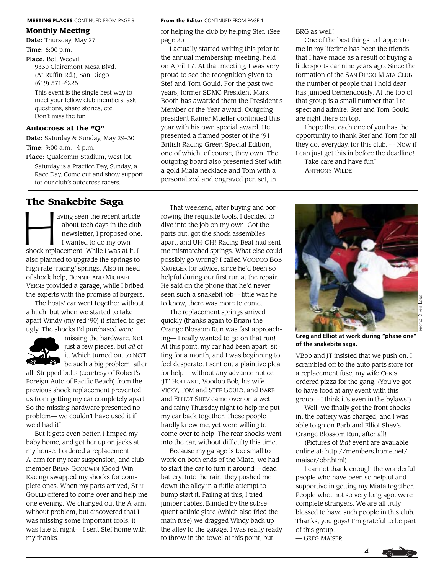#### MEETING PLACES CONTINUED FROM PAGE 3

### **Monthly Meeting**

Date: Thursday, May 27

Time: 6:00 p.m.

Place: Boll Weevil 9330 Clairemont Mesa Blvd. (At Ruffin Rd.), San Diego (619) 571-6225

This event is the single best way to meet your fellow club members, ask questions, share stories, etc. Don't miss the fun!

### **Autocross at the "Q"**

Date: Saturday & Sunday, May 29–30 Time: 9:00 a.m.– 4 p.m.

Place: Qualcomm Stadium, west lot. Saturday is a Practice Day, Sunday, a Race Day. Come out and show support for our club's autocross racers.

**The Snakebite Saga**<br>
about tech days in the newsletter, I propose<br>
I wanted to do my ov aving seen the recent article about tech days in the club newsletter, I proposed one. I wanted to do my own shock replacement. While I was at it, I also planned to upgrade the springs to high rate 'racing' springs. Also in need of shock help, BONNIE AND MICHAEL VERNE provided a garage, while I bribed the experts with the promise of burgers.

The hosts' car went together without a hitch, but when we started to take apart Windy (my red '90) it started to get ugly. The shocks I'd purchased were



missing the hardware. Not just a few pieces, but *all* of it. Which turned out to NOT  $\bullet$  be such a big problem, after

all. Stripped bolts (courtesy of Robert's Foreign Auto of Pacific Beach) from the previous shock replacement prevented us from getting my car completely apart. So the missing hardware presented no problem— we couldn't have used it if we'd had it!

But it gets even better. I limped my baby home, and got her up on jacks at my house. I ordered a replacement A-arm for my rear suspension, and club member BRIAN GOODWIN (Good-Win Racing) swapped my shocks for complete ones. When my parts arrived, STEF GOULD offered to come over and help me one evening. We changed out the A-arm without problem, but discovered that I was missing some important tools. It was late at night— I sent Stef home with my thanks.

#### From the Editor CONTINUED FROM PAGE 1

for helping the club by helping Stef. (See page 2.)

I actually started writing this prior to the annual membership meeting, held on April 17. At that meeting, I was very proud to see the recognition given to Stef and Tom Gould. For the past two years, former SDMC President Mark Booth has awarded them the President's Member of the Year award. Outgoing president Rainer Mueller continued this year with his own special award. He presented a framed poster of the '91 British Racing Green Special Edition, one of which, of course, they own. The outgoing board also presented Stef with a gold Miata necklace and Tom with a personalized and engraved pen set, in

BRG as well!

One of the best things to happen to me in my lifetime has been the friends that I have made as a result of buying a little sports car nine years ago. Since the formation of the SAN DIEGO MIATA CLUB, the number of people that I hold dear has jumped tremendously. At the top of that group is a small number that I respect and admire. Stef and Tom Gould are right there on top.

I hope that each one of you has the opportunity to thank Stef and Tom for all they do, everyday, for this club. — Now if I can just get this in before the deadline!

Take care and have fun! —ANTHONY WILDE



**Greg and Elliot at work during "phase one" of the snakebite saga.**

VBob and JT insisted that we push on. I scrambled off to the auto parts store for a replacement fuse, my wife CHRIS ordered pizza for the gang. (You've got to have food at any event with this group— I think it's even in the bylaws!)

Well, we finally got the front shocks in, the battery was charged, and I was able to go on Barb and Elliot Shev's Orange Blossom Run, after all!

(Pictures of *that* event are available online at: http://members.home.net/ maiser/obr.html)

I cannot thank enough the wonderful people who have been so helpful and supportive in getting my Miata together. People who, not so very long ago, were complete strangers. We are all truly blessed to have such people in this club. Thanks, you guys! I'm grateful to be part of this group.

— GREG MAISER



That weekend, after buying and borrowing the requisite tools, I decided to dive into the job on my own. Got the parts out, got the shock assemblies apart, and UH-OH! Racing Beat had sent me mismatched springs. What else could possibly go wrong? I called VOODOO BOB KRUEGER for advice, since he'd been so helpful during our first run at the repair. He said on the phone that he'd never seen such a snakebit job— little was he to know, there was more to come.

The replacement springs arrived quickly (thanks again to Brian) the Orange Blossom Run was fast approaching— I really wanted to go on that run! At this point, my car had been apart, sitting for a month, and I was beginning to feel desperate. I sent out a plaintive plea for help— without any advance notice 'JT' HOLLAND, Voodoo Bob, his wife VICKY, TOM and STEF GOULD, and BARB and ELLIOT SHEV came over on a wet and rainy Thursday night to help me put my car back together. These people hardly knew me, yet were willing to come over to help. The rear shocks went into the car, without difficulty this time.

Because my garage is too small to work on both ends of the Miata, we had to start the car to turn it around— dead battery. Into the rain, they pushed me down the alley in a futile attempt to bump start it. Failing at this, I tried jumper cables. Blinded by the subsequent actinic glare (which also fried the main fuse) we dragged Windy back up the alley to the garage. I was really ready to throw in the towel at this point, but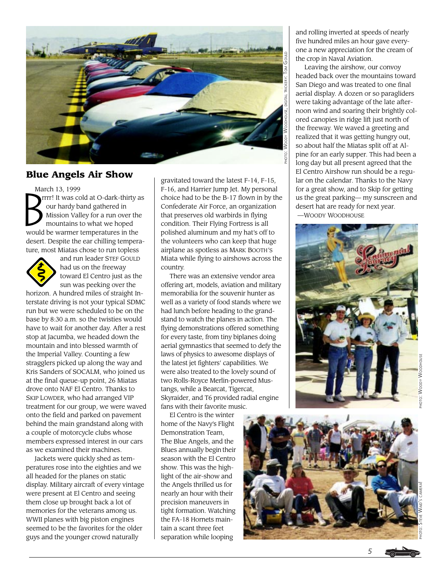

# **Blue Angels Air Show**

March 13, 1999

 $\mathbf{B}^{\text{max}}$  rrrr! It was cold at O-dark-thirty as our hardy band gathered in Mission Valley for a run over the mountains to what we hoped would be warmer temperatures in the desert. Despite the ear chilling temperature, most Miatas chose to run topless



and run leader STEF GOULD had us on the freeway toward El Centro just as the sun was peeking over the

horizon. A hundred miles of straight Interstate driving is not your typical SDMC run but we were scheduled to be on the base by 8:30 a.m. so the twisties would have to wait for another day. After a rest stop at Jacumba, we headed down the mountain and into blessed warmth of the Imperial Valley. Counting a few stragglers picked up along the way and Kris Sanders of SOCALM, who joined us at the final queue-up point, 26 Miatas drove onto NAF El Centro. Thanks to SKIP LOWDER, who had arranged VIP treatment for our group, we were waved onto the field and parked on pavement behind the main grandstand along with a couple of motorcycle clubs whose members expressed interest in our cars as we examined their machines.

Jackets were quickly shed as temperatures rose into the eighties and we all headed for the planes on static display. Military aircraft of every vintage were present at El Centro and seeing them close up brought back a lot of memories for the veterans among us. WWII planes with big piston engines seemed to be the favorites for the older guys and the younger crowd naturally

gravitated toward the latest F-14, F-15, F-16, and Harrier Jump Jet. My personal choice had to be the B-17 flown in by the Confederate Air Force, an organization that preserves old warbirds in flying condition. Their Flying Fortress is all polished aluminum and my hat's off to the volunteers who can keep that huge airplane as spotless as MARK BOOTH'S Miata while flying to airshows across the country.

There was an extensive vendor area offering art, models, aviation and military memorabilia for the souvenir hunter as well as a variety of food stands where we had lunch before heading to the grandstand to watch the planes in action. The flying demonstrations offered something for every taste, from tiny biplanes doing aerial gymnastics that seemed to defy the laws of physics to awesome displays of the latest jet fighters' capabilities. We were also treated to the lovely sound of two Rolls-Royce Merlin-powered Mustangs, while a Bearcat, Tigercat, Skyraider, and T6 provided radial engine fans with their favorite music.

El Centro is the winter home of the Navy's Flight Demonstration Team, The Blue Angels, and the Blues annually begin their season with the El Centro show. This was the highlight of the air-show and the Angels thrilled us for nearly an hour with their precision maneuvers in tight formation. Watching the FA-18 Hornets maintain a scant three feet separation while looping

and rolling inverted at speeds of nearly five hundred miles an hour gave everyone a new appreciation for the cream of the crop in Naval Aviation.

Leaving the airshow, our convoy headed back over the mountains toward San Diego and was treated to one final aerial display. A dozen or so paragliders were taking advantage of the late afternoon wind and soaring their brightly colored canopies in ridge lift just north of the freeway. We waved a greeting and realized that it was getting hungry out, so about half the Miatas split off at Alpine for an early supper. This had been a long day but all present agreed that the El Centro Airshow run should be a regular on the calendar. Thanks to the Navy for a great show, and to Skip for getting us the great parking— my sunscreen and desert hat are ready for next year.

—WOODY WOODHOUSE



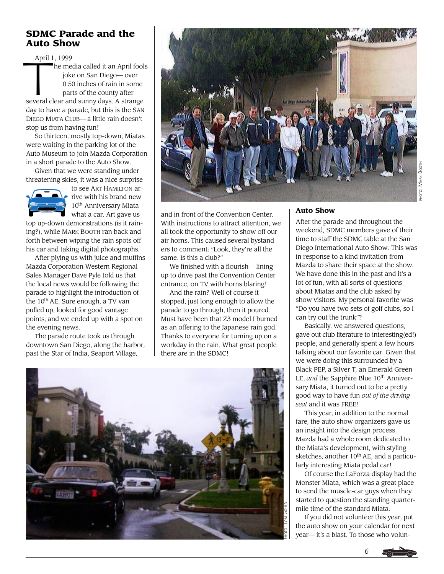# **SDMC Parade and the Auto Show**

April 1 April 1, 1999 he media called it an April fools joke on San Diego— over 0.50 inches of rain in some parts of the county after several clear and sunny days. A strange day to have a parade, but this is the SAN DIEGO MIATA CLUB— a little rain doesn't stop us from having fun!

So thirteen, mostly top-down, Miatas were waiting in the parking lot of the Auto Museum to join Mazda Corporation in a short parade to the Auto Show.

Given that we were standing under threatening skies, it was a nice surprise



to see ART HAMILTON arrive with his brand new 10<sup>th</sup> Anniversary Miatawhat a car. Art gave us

top up-down demonstrations (is it raining?), while MARK BOOTH ran back and forth between wiping the rain spots off his car and taking digital photographs.

After plying us with juice and muffins Mazda Corporation Western Regional Sales Manager Dave Pyle told us that the local news would be following the parade to highlight the introduction of the 10<sup>th</sup> AE. Sure enough, a TV van pulled up, looked for good vantage points, and we ended up with a spot on the evening news.

The parade route took us through downtown San Diego, along the harbor, past the Star of India, Seaport Village,



and in front of the Convention Center. With instructions to attract attention, we all took the opportunity to show off our air horns. This caused several bystanders to comment: "Look, they're all the same. Is this a club?"

We finished with a flourish— lining up to drive past the Convention Center entrance, on TV with horns blaring!

And the rain? Well of course it stopped, just long enough to allow the parade to go through, then it poured. Must have been that Z3 model I burned as an offering to the Japanese rain god. Thanks to everyone for turning up on a workday in the rain. What great people there are in the SDMC!



### **Auto Show**

After the parade and throughout the weekend, SDMC members gave of their time to staff the SDMC table at the San Diego International Auto Show. This was in response to a kind invitation from Mazda to share their space at the show. We have done this in the past and it's a lot of fun, with all sorts of questions about Miatas and the club asked by show visitors. My personal favorite was "Do you have two sets of golf clubs, so I can try out the trunk"?

Basically, we answered questions, gave out club literature to interesting(ed!) people, and generally spent a few hours talking about our favorite car. Given that we were doing this surrounded by a Black PEP, a Silver T, an Emerald Green LE, and the Sapphire Blue 10<sup>th</sup> Anniversary Miata, it turned out to be a pretty good way to have fun *out of the driving seat* and it was FREE!

This year, in addition to the normal fare, the auto show organizers gave us an insight into the design process. Mazda had a whole room dedicated to the Miata's development, with styling sketches, another  $10^{th}$  AE, and a particularly interesting Miata pedal car!

Of course the LaForza display had the Monster Miata, which was a great place to send the muscle-car guys when they started to question the standing quartermile time of the standard Miata.

If you did not volunteer this year, put the auto show on your calendar for next year— it's a blast. To those who volun-

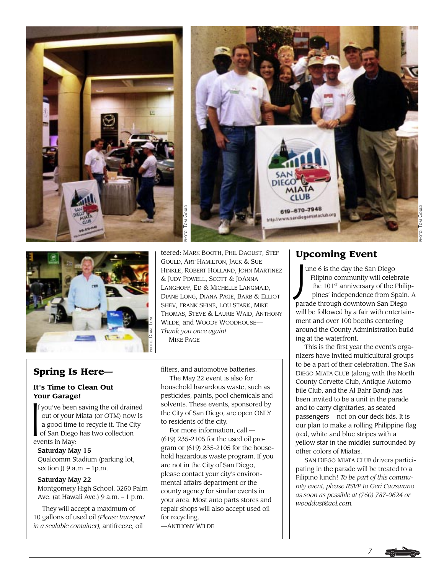



teered: MARK BOOTH, PHIL DAOUST, STEF GOULD, ART HAMILTON, JACK & SUE HINKLE, ROBERT HOLLAND, JOHN MARTINEZ & JUDY POWELL, SCOTT & JOANNA LANGHOFF, ED & MICHELLE LANGMAID, DIANE LONG, DIANA PAGE, BARB & ELLIOT SHEV, FRANK SHINE, LOU STARK, MIKE THOMAS, STEVE & LAURIE WAID, ANTHONY WILDE, and WOODY WOODHOUSE— *Thank you once again!* **EXAMPLE PROPERTY CONCLOCATED SECTION AND FINITE PHOTOGRAPHONG**, SHEV, FRANK THOMAS, STEM WILDE, and Wilhark you on thank you on the MIKE PAGE

# **Spring Is Here—**

## **It's Time to Clean Out Your Garage!**

**You**<br>If y<br>c<br>a<br>a<br>o f you've been saving the oil drained out of your Miata (or OTM) now is a good time to recycle it. The City of San Diego has two collection events in May:

### Saturday May 15 Qualcomm Stadium (parking lot,

section J $)9$  a.m.  $-1$ p.m.

### Saturday May 22

Montgomery High School, 3250 Palm Ave. (at Hawaii Ave.) 9 a.m. – 1 p.m.

They will accept a maximum of 10 gallons of used oil *(Please transport in a sealable container),* antifreeze, oil

filters, and automotive batteries. The May 22 event is also for household hazardous waste, such as pesticides, paints, pool chemicals and solvents. These events, sponsored by the City of San Diego, are open ONLY to residents of the city.

For more information, call — (619) 235-2105 for the used oil program or (619) 235-2105 for the household hazardous waste program. If you are not in the City of San Diego, please contact your city's environmental affairs department or the county agency for similar events in your area. Most auto parts stores and repair shops will also accept used oil for recycling.

—ANTHONY WILDE

**Upcoming Event**<br>
une 6 is the day the San<br>
Filipino community wi<br>
the 101<sup>st</sup> anniversary opines' independence f une 6 is the day the San Diego Filipino community will celebrate the 101<sup>st</sup> anniversary of the Philip pines' independence from Spain. A parade through downtown San Diego will be followed by a fair with entertainment and over 100 booths centering around the County Administration building at the waterfront.

This is the first year the event's organizers have invited multicultural groups to be a part of their celebration. The SAN DIEGO MIATA CLUB (along with the North County Corvette Club, Antique Automobile Club, and the Al Bahr Band) has been invited to be a unit in the parade and to carry dignitaries, as seated passengers— not on our deck lids. It is our plan to make a rolling Philippine flag (red, white and blue stripes with a yellow star in the middle) surrounded by other colors of Miatas.

SAN DIEGO MIATA CLUB drivers participating in the parade will be treated to a Filipino lunch! *To be part of this community event, please RSVP to Geri Causarano as soon as possible at (760) 787-0624 or wooddust@aol.com.*

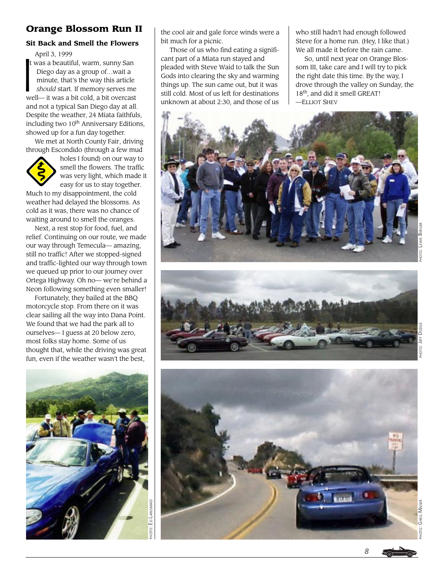# **Orange Blossom Run II**

### **Sit Back and Smell the Flowers**

April 3, 1999

 $\begin{array}{c}\nA \\
I\n\end{array}$  t was a beautiful, warm, sunny San Diego day as a group of…wait a minute, that's the way this article *should* start. If memory serves me well— it was a bit cold, a bit overcast and not a typical San Diego day at all. Despite the weather, 24 Miata faithfuls, including two 10<sup>th</sup> Anniversary Editions, showed up for a fun day together.

We met at North County Fair, driving through Escondido (through a few mud



holes I found) on our way to smell the flowers. The traffic was very light, which made it easy for us to stay together.

Much to my disappointment, the cold weather had delayed the blossoms. As cold as it was, there was no chance of waiting around to smell the oranges.

Next, a rest stop for food, fuel, and relief. Continuing on our route, we made our way through Temecula— amazing, still no traffic! After we stopped-signed and traffic-lighted our way through town we queued up prior to our journey over Ortega Highway. Oh no— we're behind a Neon following something even smaller!

Fortunately, they bailed at the BBQ motorcycle stop. From there on it was clear sailing all the way into Dana Point. We found that we had the park all to ourselves— I guess at 20 below zero, most folks stay home. Some of us thought that, while the driving was great fun, even if the weather wasn't the best,



the cool air and gale force winds were a bit much for a picnic.

Those of us who find eating a significant part of a Miata run stayed and pleaded with Steve Waid to talk the Sun Gods into clearing the sky and warming things up. The sun came out, but it was still cold. Most of us left for destinations unknown at about 2:30, and those of us

who still hadn't had enough followed Steve for a home run. (Hey, I like that.) We all made it before the rain came.

So, until next year on Orange Blossom III, take care and I will try to pick the right date this time. By the way, I drove through the valley on Sunday, the 18<sup>th</sup>, and did it smell GREAT! —ELLIOT SHEV







PHOTO: GREG MAISER

GREG MAISER

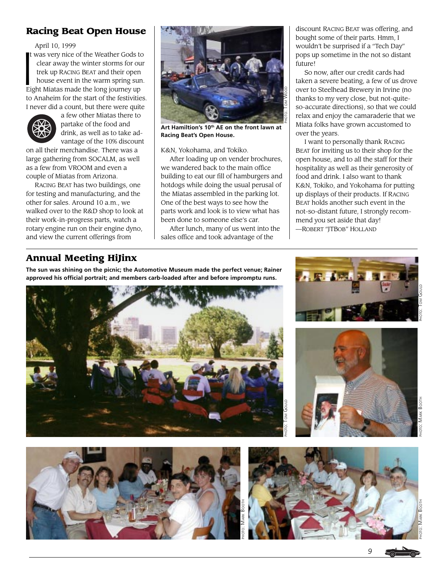# **Racing Beat Open House**

April 10, 1999

 $\frac{1}{1}$ was very nice of the Weather Gods to clear away the winter storms for our trek up RACING BEAT and their open house event in the warm spring sun. Eight Miatas made the long journey up to Anaheim for the start of the festivities. I never did a count, but there were quite



a few other Miatas there to partake of the food and drink, as well as to take advantage of the 10% discount

on all their merchandise. There was a large gathering from SOCALM, as well as a few from VROOM and even a couple of Miatas from Arizona.

RACING BEAT has two buildings, one for testing and manufacturing, and the other for sales. Around 10 a.m., we walked over to the R&D shop to look at their work-in-progress parts, watch a rotary engine run on their engine dyno, and view the current offerings from



**Art Hamiltion's 10th AE on the front lawn at Racing Beat's Open House.**

K&N, Yokohama, and Tokiko.

After loading up on vender brochures, we wandered back to the main office building to eat our fill of hamburgers and hotdogs while doing the usual perusal of the Miatas assembled in the parking lot. One of the best ways to see how the parts work and look is to view what has been done to someone else's car.

After lunch, many of us went into the sales office and took advantage of the

discount RACING BEAT was offering, and bought some of their parts. Hmm, I wouldn't be surprised if a "Tech Day" pops up sometime in the not so distant future!

So now, after our credit cards had taken a severe beating, a few of us drove over to Steelhead Brewery in Irvine (no thanks to my very close, but not-quiteso-accurate directions), so that we could relax and enjoy the camaraderie that we Miata folks have grown accustomed to over the years.

I want to personally thank RACING BEAT for inviting us to their shop for the open house, and to all the staff for their hospitality as well as their generosity of food and drink. I also want to thank K&N, Tokiko, and Yokohama for putting up displays of their products. If RACING BEAT holds another such event in the not-so-distant future, I strongly recommend you set aside that day! —ROBERT "JTBOB" HOLLAND

# **Annual Meeting HiJinx**

**The sun was shining on the picnic; the Automotive Museum made the perfect venue; Rainer approved his official portrait; and members carb-loaded after and before impromptu runs.**











PHOTO: MARK BOOTH PHOTO: TOM GOULD **MARK BOOTH**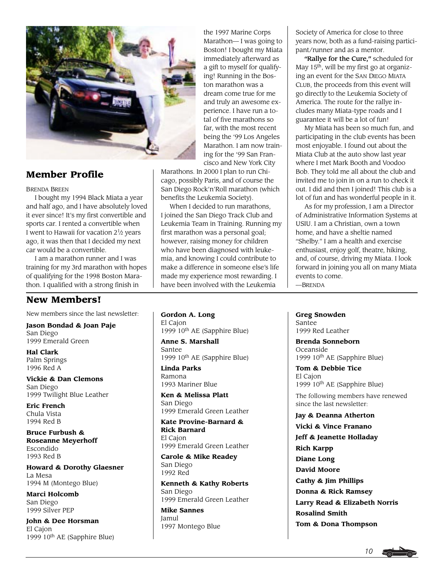

# **Member Profile**

### BRENDA BREEN

I bought my 1994 Black Miata a year and half ago, and I have absolutely loved it ever since! It's my first convertible and sports car. I rented a convertible when I went to Hawaii for vacation  $2\frac{1}{2}$  years ago, it was then that I decided my next car would be a convertible.

I am a marathon runner and I was training for my 3rd marathon with hopes of qualifying for the 1998 Boston Marathon. I qualified with a strong finish in

# **New Members!**

New members since the last newsletter:

**Jason Bondad & Joan Paje** San Diego 1999 Emerald Green

**Hal Clark** Palm Springs 1996 Red A

**Vickie & Dan Clemons** San Diego 1999 Twilight Blue Leather

**Eric French** Chula Vista 1994 Red B

**Bruce Furbush & Roseanne Meyerhoff** Escondido 1993 Red B

**Howard & Dorothy Glaesner** La Mesa 1994 M (Montego Blue)

**Marci Holcomb** San Diego 1999 Silver PEP

**John & Dee Horsman** El Cajon 1999 10th AE (Sapphire Blue)

the 1997 Marine Corps Marathon— I was going to Boston! I bought my Miata immediately afterward as a gift to myself for qualifying! Running in the Boston marathon was a dream come true for me and truly an awesome experience. I have run a total of five marathons so far, with the most recent being the '99 Los Angeles Marathon. I am now training for the '99 San Francisco and New York City

Marathons. In 2000 I plan to run Chicago, possibly Paris, and of course the San Diego Rock'n'Roll marathon (which benefits the Leukemia Society).

When I decided to run marathons, I joined the San Diego Track Club and Leukemia Team in Training. Running my first marathon was a personal goal; however, raising money for children who have been diagnosed with leukemia, and knowing I could contribute to make a difference in someone else's life made my experience most rewarding. I have been involved with the Leukemia

**Gordon A. Long** El Cajon 1999 10th AE (Sapphire Blue)

**Anne S. Marshall** Santee 1999 10th AE (Sapphire Blue)

**Linda Parks** Ramona 1993 Mariner Blue

**Ken & Melissa Platt** San Diego 1999 Emerald Green Leather

**Kate Provine-Barnard & Rick Barnard** El Cajon 1999 Emerald Green Leather

**Carole & Mike Readey** San Diego 1992 Red

**Kenneth & Kathy Roberts** San Diego 1999 Emerald Green Leather

**Mike Sannes** Jamul 1997 Montego Blue Society of America for close to three years now, both as a fund-raising participant/runner and as a mentor.

"Rallye for the Cure," scheduled for May 15<sup>th</sup>, will be my first go at organizing an event for the SAN DIEGO MIATA CLUB, the proceeds from this event will go directly to the Leukemia Society of America. The route for the rallye includes many Miata-type roads and I guarantee it will be a lot of fun!

My Miata has been so much fun, and participating in the club events has been most enjoyable. I found out about the Miata Club at the auto show last year where I met Mark Booth and Voodoo Bob. They told me all about the club and invited me to join in on a run to check it out. I did and then I joined! This club is a lot of fun and has wonderful people in it.

As for my profession, I am a Director of Administrative Information Systems at USIU. I am a Christian, own a town home, and have a sheltie named "Shelby." I am a health and exercise enthusiast, enjoy golf, theatre, hiking, and, of course, driving my Miata. I look forward in joining you all on many Miata events to come. —BRENDA

**Greg Snowden**

Santee 1999 Red Leather

**Brenda Sonneborn** Oceanside 1999 10<sup>th</sup> AE (Sapphire Blue)

**Tom & Debbie Tice** El Cajon 1999 10th AE (Sapphire Blue)

The following members have renewed since the last newsletter:

**Jay & Deanna Atherton**

**Vicki & Vince Franano Jeff & Jeanette Holladay Rich Karpp Diane Long David Moore Cathy & Jim Phillips Donna & Rick Ramsey Larry Read & Elizabeth Norris Rosalind Smith Tom & Dona Thompson**